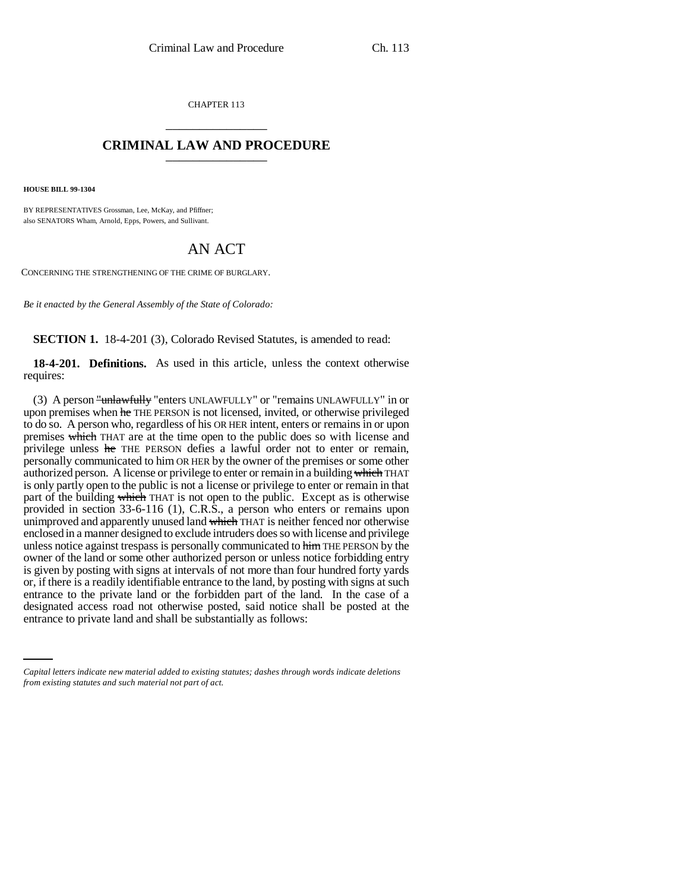CHAPTER 113 \_\_\_\_\_\_\_\_\_\_\_\_\_\_\_

## **CRIMINAL LAW AND PROCEDURE** \_\_\_\_\_\_\_\_\_\_\_\_\_\_\_

**HOUSE BILL 99-1304**

BY REPRESENTATIVES Grossman, Lee, McKay, and Pfiffner; also SENATORS Wham, Arnold, Epps, Powers, and Sullivant.

## AN ACT

CONCERNING THE STRENGTHENING OF THE CRIME OF BURGLARY.

*Be it enacted by the General Assembly of the State of Colorado:*

**SECTION 1.** 18-4-201 (3), Colorado Revised Statutes, is amended to read:

**18-4-201. Definitions.** As used in this article, unless the context otherwise requires:

entrance to the private rand of the forbidden part of the rand. In the case of a designated access road not otherwise posted, said notice shall be posted at the (3) A person "unlawfully "enters UNLAWFULLY" or "remains UNLAWFULLY" in or upon premises when he THE PERSON is not licensed, invited, or otherwise privileged to do so. A person who, regardless of his OR HER intent, enters or remains in or upon premises which THAT are at the time open to the public does so with license and privilege unless he THE PERSON defies a lawful order not to enter or remain, personally communicated to him OR HER by the owner of the premises or some other authorized person. A license or privilege to enter or remain in a building which THAT is only partly open to the public is not a license or privilege to enter or remain in that part of the building which THAT is not open to the public. Except as is otherwise provided in section 33-6-116 (1), C.R.S., a person who enters or remains upon unimproved and apparently unused land which THAT is neither fenced nor otherwise enclosed in a manner designed to exclude intruders does so with license and privilege unless notice against trespass is personally communicated to him THE PERSON by the owner of the land or some other authorized person or unless notice forbidding entry is given by posting with signs at intervals of not more than four hundred forty yards or, if there is a readily identifiable entrance to the land, by posting with signs at such entrance to the private land or the forbidden part of the land. In the case of a entrance to private land and shall be substantially as follows:

*Capital letters indicate new material added to existing statutes; dashes through words indicate deletions from existing statutes and such material not part of act.*